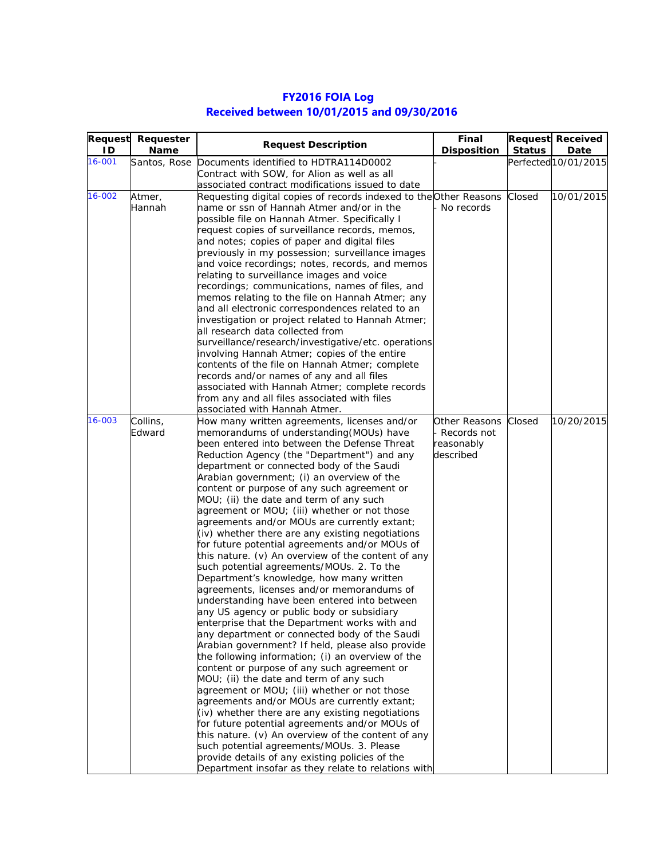## **FY2016 FOIA Log Received between 10/01/2015 and 09/30/2016**

|        | Request Requester | <b>Request Description</b>                                                                      | Final              |               | <b>Request Received</b> |
|--------|-------------------|-------------------------------------------------------------------------------------------------|--------------------|---------------|-------------------------|
| ID     | <b>Name</b>       |                                                                                                 | <b>Disposition</b> | <b>Status</b> | Date                    |
| 16-001 | Santos, Rose      | Documents identified to HDTRA114D0002                                                           |                    |               | Perfected 10/01/2015    |
|        |                   | Contract with SOW, for Alion as well as all                                                     |                    |               |                         |
|        |                   | associated contract modifications issued to date                                                |                    |               |                         |
| 16-002 | Atmer,            | Requesting digital copies of records indexed to the Other Reasons                               |                    | Closed        | 10/01/2015              |
|        | Hannah            | name or ssn of Hannah Atmer and/or in the                                                       | No records         |               |                         |
|        |                   | possible file on Hannah Atmer. Specifically I                                                   |                    |               |                         |
|        |                   | request copies of surveillance records, memos,                                                  |                    |               |                         |
|        |                   | and notes; copies of paper and digital files                                                    |                    |               |                         |
|        |                   | previously in my possession; surveillance images                                                |                    |               |                         |
|        |                   | and voice recordings; notes, records, and memos                                                 |                    |               |                         |
|        |                   | relating to surveillance images and voice                                                       |                    |               |                         |
|        |                   | recordings; communications, names of files, and                                                 |                    |               |                         |
|        |                   | memos relating to the file on Hannah Atmer; any                                                 |                    |               |                         |
|        |                   | and all electronic correspondences related to an                                                |                    |               |                         |
|        |                   | investigation or project related to Hannah Atmer;                                               |                    |               |                         |
|        |                   | all research data collected from                                                                |                    |               |                         |
|        |                   | surveillance/research/investigative/etc. operations                                             |                    |               |                         |
|        |                   | involving Hannah Atmer; copies of the entire                                                    |                    |               |                         |
|        |                   | contents of the file on Hannah Atmer; complete                                                  |                    |               |                         |
|        |                   | records and/or names of any and all files                                                       |                    |               |                         |
|        |                   | associated with Hannah Atmer; complete records                                                  |                    |               |                         |
|        |                   | from any and all files associated with files                                                    |                    |               |                         |
|        |                   | associated with Hannah Atmer.                                                                   |                    |               |                         |
| 16-003 | Collins,          | How many written agreements, licenses and/or                                                    | Other Reasons      | Closed        | 10/20/2015              |
|        | Edward            | memorandums of understanding (MOUs) have                                                        | Records not        |               |                         |
|        |                   | been entered into between the Defense Threat                                                    | reasonably         |               |                         |
|        |                   | Reduction Agency (the "Department") and any                                                     | described          |               |                         |
|        |                   | department or connected body of the Saudi                                                       |                    |               |                         |
|        |                   | Arabian government; (i) an overview of the                                                      |                    |               |                         |
|        |                   | content or purpose of any such agreement or                                                     |                    |               |                         |
|        |                   | MOU; (ii) the date and term of any such                                                         |                    |               |                         |
|        |                   | agreement or MOU; (iii) whether or not those                                                    |                    |               |                         |
|        |                   | agreements and/or MOUs are currently extant;                                                    |                    |               |                         |
|        |                   | (iv) whether there are any existing negotiations                                                |                    |               |                         |
|        |                   | for future potential agreements and/or MOUs of                                                  |                    |               |                         |
|        |                   | this nature. (v) An overview of the content of any<br>such potential agreements/MOUs. 2. To the |                    |               |                         |
|        |                   |                                                                                                 |                    |               |                         |
|        |                   | Department's knowledge, how many written<br>agreements, licenses and/or memorandums of          |                    |               |                         |
|        |                   | understanding have been entered into between                                                    |                    |               |                         |
|        |                   | any US agency or public body or subsidiary                                                      |                    |               |                         |
|        |                   | enterprise that the Department works with and                                                   |                    |               |                         |
|        |                   | any department or connected body of the Saudi                                                   |                    |               |                         |
|        |                   | Arabian government? If held, please also provide                                                |                    |               |                         |
|        |                   | the following information; (i) an overview of the                                               |                    |               |                         |
|        |                   | content or purpose of any such agreement or                                                     |                    |               |                         |
|        |                   | MOU; (ii) the date and term of any such                                                         |                    |               |                         |
|        |                   | agreement or MOU; (iii) whether or not those                                                    |                    |               |                         |
|        |                   | agreements and/or MOUs are currently extant;                                                    |                    |               |                         |
|        |                   | (iv) whether there are any existing negotiations                                                |                    |               |                         |
|        |                   | for future potential agreements and/or MOUs of                                                  |                    |               |                         |
|        |                   | this nature. (v) An overview of the content of any                                              |                    |               |                         |
|        |                   | such potential agreements/MOUs. 3. Please                                                       |                    |               |                         |
|        |                   | provide details of any existing policies of the                                                 |                    |               |                         |
|        |                   | Department insofar as they relate to relations with                                             |                    |               |                         |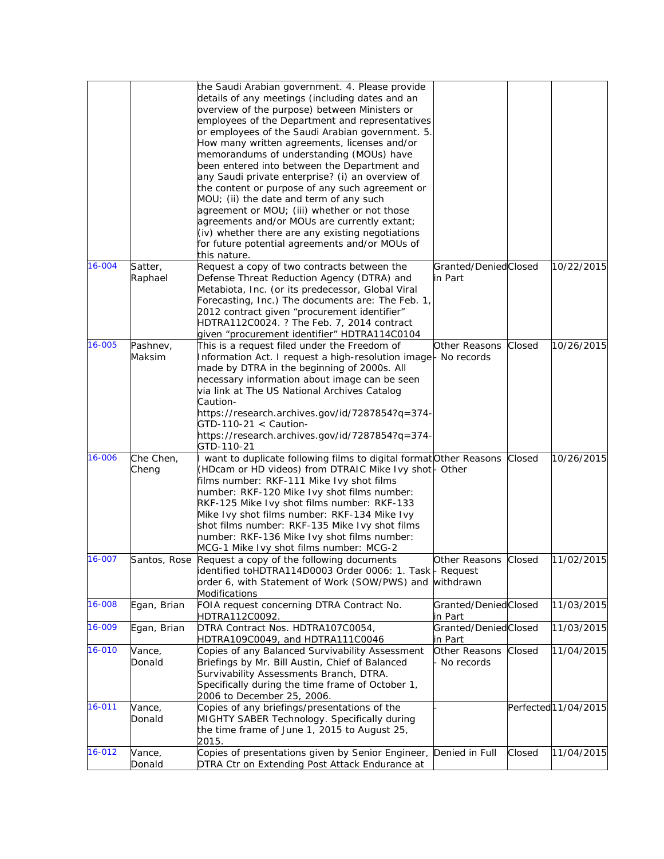|        |             | the Saudi Arabian government. 4. Please provide                     |                      |        |                      |
|--------|-------------|---------------------------------------------------------------------|----------------------|--------|----------------------|
|        |             | details of any meetings (including dates and an                     |                      |        |                      |
|        |             | overview of the purpose) between Ministers or                       |                      |        |                      |
|        |             | employees of the Department and representatives                     |                      |        |                      |
|        |             | or employees of the Saudi Arabian government. 5.                    |                      |        |                      |
|        |             | How many written agreements, licenses and/or                        |                      |        |                      |
|        |             | memorandums of understanding (MOUs) have                            |                      |        |                      |
|        |             | been entered into between the Department and                        |                      |        |                      |
|        |             | any Saudi private enterprise? (i) an overview of                    |                      |        |                      |
|        |             | the content or purpose of any such agreement or                     |                      |        |                      |
|        |             | MOU; (ii) the date and term of any such                             |                      |        |                      |
|        |             | agreement or MOU; (iii) whether or not those                        |                      |        |                      |
|        |             | agreements and/or MOUs are currently extant;                        |                      |        |                      |
|        |             | (iv) whether there are any existing negotiations                    |                      |        |                      |
|        |             | for future potential agreements and/or MOUs of                      |                      |        |                      |
|        |             | this nature.                                                        |                      |        |                      |
| 16-004 |             | Request a copy of two contracts between the                         | Granted/DeniedClosed |        | 10/22/2015           |
|        | Satter,     |                                                                     |                      |        |                      |
|        | Raphael     | Defense Threat Reduction Agency (DTRA) and                          | in Part              |        |                      |
|        |             | Metabiota, Inc. (or its predecessor, Global Viral                   |                      |        |                      |
|        |             | Forecasting, Inc.) The documents are: The Feb. 1,                   |                      |        |                      |
|        |             | 2012 contract given "procurement identifier"                        |                      |        |                      |
|        |             | HDTRA112C0024. ? The Feb. 7, 2014 contract                          |                      |        |                      |
|        |             | given "procurement identifier" HDTRA114C0104                        |                      |        |                      |
| 16-005 | Pashnev,    | This is a request filed under the Freedom of                        | Other Reasons        | Closed | 10/26/2015           |
|        | Maksim      | Information Act. I request a high-resolution image- No records      |                      |        |                      |
|        |             | made by DTRA in the beginning of 2000s. All                         |                      |        |                      |
|        |             | necessary information about image can be seen                       |                      |        |                      |
|        |             | via link at The US National Archives Catalog                        |                      |        |                      |
|        |             | Caution-                                                            |                      |        |                      |
|        |             | https://research.archives.gov/id/7287854?q=374-                     |                      |        |                      |
|        |             | $GTD-110-21 <$ Caution-                                             |                      |        |                      |
|        |             | https://research.archives.gov/id/7287854?q=374-                     |                      |        |                      |
|        |             | GTD-110-21                                                          |                      |        |                      |
| 16-006 | Che Chen,   | I want to duplicate following films to digital format Other Reasons |                      | Closed | 10/26/2015           |
|        | Cheng       | (HDcam or HD videos) from DTRAIC Mike Ivy shot- Other               |                      |        |                      |
|        |             | films number: RKF-111 Mike Ivy shot films                           |                      |        |                      |
|        |             | number: RKF-120 Mike Ivy shot films number:                         |                      |        |                      |
|        |             | RKF-125 Mike Ivy shot films number: RKF-133                         |                      |        |                      |
|        |             | Mike Ivy shot films number: RKF-134 Mike Ivy                        |                      |        |                      |
|        |             | shot films number: RKF-135 Mike Ivy shot films                      |                      |        |                      |
|        |             |                                                                     |                      |        |                      |
|        |             | number: RKF-136 Mike Ivy shot films number:                         |                      |        |                      |
|        |             | MCG-1 Mike Ivy shot films number: MCG-2                             |                      |        |                      |
| 16-007 |             | Santos, Rose Request a copy of the following documents              | Other Reasons        | Closed | 11/02/2015           |
|        |             | identified toHDTRA114D0003 Order 0006: 1. Task - Request            |                      |        |                      |
|        |             | order 6, with Statement of Work (SOW/PWS) and withdrawn             |                      |        |                      |
|        |             | <b>Modifications</b>                                                |                      |        |                      |
| 16-008 | Egan, Brian | FOIA request concerning DTRA Contract No.                           | Granted/DeniedClosed |        | 11/03/2015           |
|        |             | HDTRA112C0092.                                                      | in Part              |        |                      |
| 16-009 | Egan, Brian | DTRA Contract Nos. HDTRA107C0054,                                   | Granted/DeniedClosed |        | 11/03/2015           |
|        |             | HDTRA109C0049, and HDTRA111C0046                                    | in Part              |        |                      |
| 16-010 | Vance,      | Copies of any Balanced Survivability Assessment                     | Other Reasons        | Closed | 11/04/2015           |
|        | Donald      | Briefings by Mr. Bill Austin, Chief of Balanced                     | No records           |        |                      |
|        |             | Survivability Assessments Branch, DTRA.                             |                      |        |                      |
|        |             | Specifically during the time frame of October 1,                    |                      |        |                      |
|        |             | 2006 to December 25, 2006.                                          |                      |        |                      |
| 16-011 | Vance,      | Copies of any briefings/presentations of the                        |                      |        | Perfected 11/04/2015 |
|        | Donald      | MIGHTY SABER Technology. Specifically during                        |                      |        |                      |
|        |             | the time frame of June 1, 2015 to August 25,                        |                      |        |                      |
|        |             | 2015.                                                               |                      |        |                      |
| 16-012 | Vance,      | Copies of presentations given by Senior Engineer, Denied in Full    |                      | Closed | 11/04/2015           |
|        | Donald      | DTRA Ctr on Extending Post Attack Endurance at                      |                      |        |                      |
|        |             |                                                                     |                      |        |                      |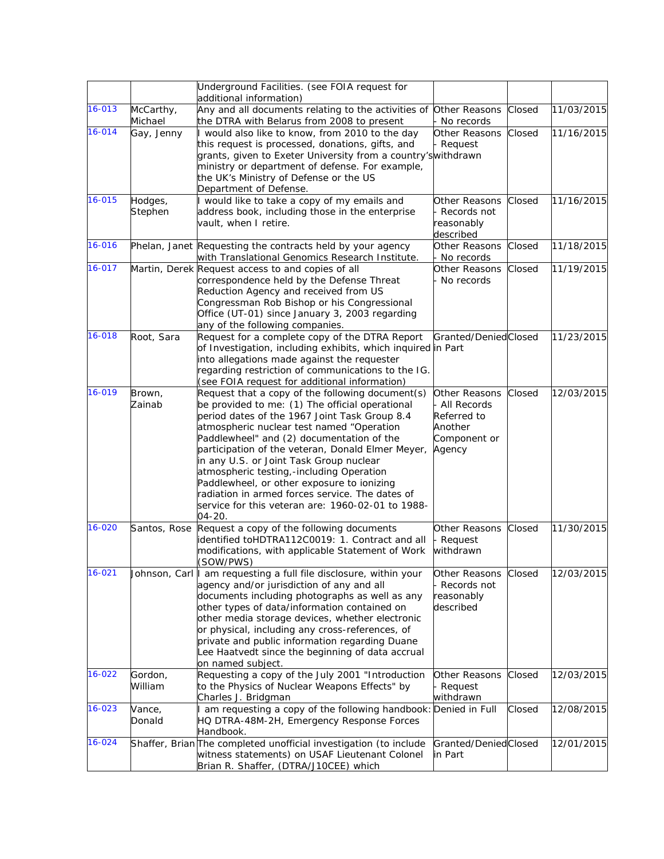|            |                      | Underground Facilities. (see FOIA request for<br>additional information)                                                                                                                                                                                                                                                                                                                                                                                                                                                                                   |                                                                                  |        |            |
|------------|----------------------|------------------------------------------------------------------------------------------------------------------------------------------------------------------------------------------------------------------------------------------------------------------------------------------------------------------------------------------------------------------------------------------------------------------------------------------------------------------------------------------------------------------------------------------------------------|----------------------------------------------------------------------------------|--------|------------|
| 16-013     | McCarthy,<br>Michael | Any and all documents relating to the activities of Other Reasons<br>the DTRA with Belarus from 2008 to present                                                                                                                                                                                                                                                                                                                                                                                                                                            | No records                                                                       | Closed | 11/03/2015 |
| 16-014     | Gay, Jenny           | I would also like to know, from 2010 to the day<br>this request is processed, donations, gifts, and<br>grants, given to Exeter University from a country's withdrawn<br>ministry or department of defense. For example,<br>the UK's Ministry of Defense or the US<br>Department of Defense.                                                                                                                                                                                                                                                                | Other Reasons<br>Request                                                         | Closed | 11/16/2015 |
| 16-015     | Hodges,<br>Stephen   | I would like to take a copy of my emails and<br>address book, including those in the enterprise<br>vault, when I retire.                                                                                                                                                                                                                                                                                                                                                                                                                                   | Other Reasons<br>Records not<br>reasonably<br>described                          | Closed | 11/16/2015 |
| 16-016     |                      | Phelan, Janet Requesting the contracts held by your agency<br>with Translational Genomics Research Institute.                                                                                                                                                                                                                                                                                                                                                                                                                                              | Other Reasons<br>No records                                                      | Closed | 11/18/2015 |
| 16-017     |                      | Martin, Derek Request access to and copies of all<br>correspondence held by the Defense Threat<br>Reduction Agency and received from US<br>Congressman Rob Bishop or his Congressional<br>Office (UT-01) since January 3, 2003 regarding<br>any of the following companies.                                                                                                                                                                                                                                                                                | Other Reasons<br>No records                                                      | Closed | 11/19/2015 |
| 16-018     | Root, Sara           | Request for a complete copy of the DTRA Report<br>of Investigation, including exhibits, which inquired in Part<br>into allegations made against the requester<br>regarding restriction of communications to the IG.<br>(see FOIA request for additional information)                                                                                                                                                                                                                                                                                       | Granted/DeniedClosed                                                             |        | 11/23/2015 |
| 16-019     | Brown,<br>Zainab     | Request that a copy of the following document(s)<br>be provided to me: (1) The official operational<br>period dates of the 1967 Joint Task Group 8.4<br>atmospheric nuclear test named "Operation<br>Paddlewheel" and (2) documentation of the<br>participation of the veteran, Donald Elmer Meyer,<br>in any U.S. or Joint Task Group nuclear<br>atmospheric testing,-including Operation<br>Paddlewheel, or other exposure to ionizing<br>radiation in armed forces service. The dates of<br>service for this veteran are: 1960-02-01 to 1988-<br>04-20. | Other Reasons<br>All Records<br>Referred to<br>Another<br>Component or<br>Agency | Closed | 12/03/2015 |
| 16-020     | Santos, Rose         | Request a copy of the following documents<br>identified toHDTRA112C0019: 1. Contract and all<br>modifications, with applicable Statement of Work<br>(SOW/PWS)                                                                                                                                                                                                                                                                                                                                                                                              | Other Reasons<br>Request<br>withdrawn                                            | Closed | 11/30/2015 |
| 16-021     |                      | Johnson, Carl   am requesting a full file disclosure, within your<br>agency and/or jurisdiction of any and all<br>documents including photographs as well as any<br>other types of data/information contained on<br>other media storage devices, whether electronic<br>or physical, including any cross-references, of<br>private and public information regarding Duane<br>Lee Haatvedt since the beginning of data accrual<br>on named subject.                                                                                                          | Other Reasons<br>Records not<br>easonably<br>described                           | Closed | 12/03/2015 |
| 16-022     | Gordon,<br>William   | Requesting a copy of the July 2001 "Introduction<br>to the Physics of Nuclear Weapons Effects" by<br>Charles J. Bridgman                                                                                                                                                                                                                                                                                                                                                                                                                                   | Other Reasons<br>Request<br>withdrawn                                            | Closed | 12/03/2015 |
| $16 - 023$ | Vance,<br>Donald     | I am requesting a copy of the following handbook: Denied in Full<br>HQ DTRA-48M-2H, Emergency Response Forces<br>Handbook.                                                                                                                                                                                                                                                                                                                                                                                                                                 |                                                                                  | Closed | 12/08/2015 |
| 16-024     |                      | Shaffer, Brian The completed unofficial investigation (to include<br>witness statements) on USAF Lieutenant Colonel<br>Brian R. Shaffer, (DTRA/J10CEE) which                                                                                                                                                                                                                                                                                                                                                                                               | Granted/DeniedClosed<br>in Part                                                  |        | 12/01/2015 |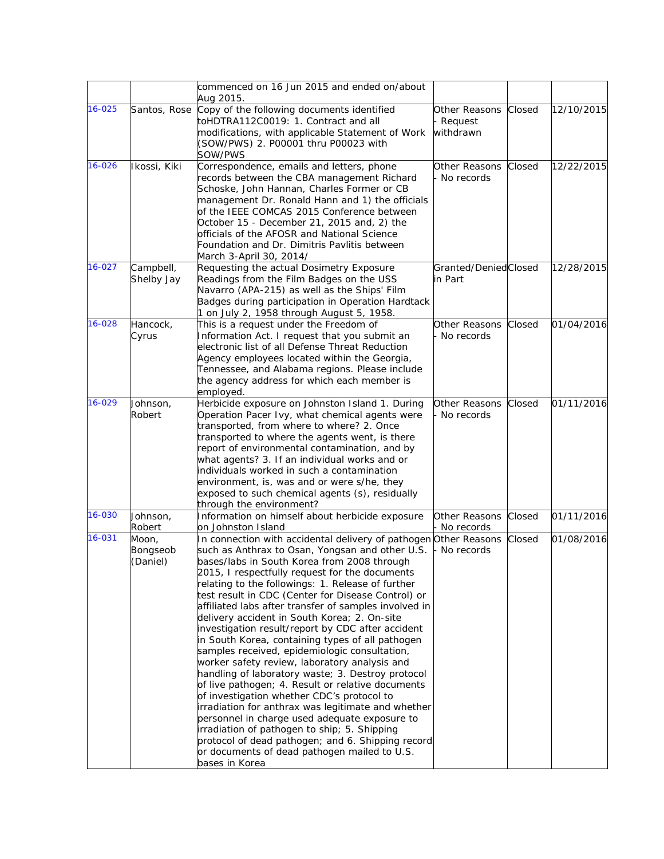|            |                               | commenced on 16 Jun 2015 and ended on/about<br>Aug 2015.                                                                                                                                                                                                                                                                                                                                                                                                                                                                                                                                                                                                                                                                                                                                                                                                                                                                                                                                                                                                                                  |                                       |        |            |
|------------|-------------------------------|-------------------------------------------------------------------------------------------------------------------------------------------------------------------------------------------------------------------------------------------------------------------------------------------------------------------------------------------------------------------------------------------------------------------------------------------------------------------------------------------------------------------------------------------------------------------------------------------------------------------------------------------------------------------------------------------------------------------------------------------------------------------------------------------------------------------------------------------------------------------------------------------------------------------------------------------------------------------------------------------------------------------------------------------------------------------------------------------|---------------------------------------|--------|------------|
| $16 - 025$ | Santos, Rose                  | Copy of the following documents identified<br>toHDTRA112C0019: 1. Contract and all<br>modifications, with applicable Statement of Work<br>(SOW/PWS) 2. P00001 thru P00023 with<br>SOW/PWS                                                                                                                                                                                                                                                                                                                                                                                                                                                                                                                                                                                                                                                                                                                                                                                                                                                                                                 | Other Reasons<br>Request<br>withdrawn | Closed | 12/10/2015 |
| 16-026     | Ikossi, Kiki                  | Correspondence, emails and letters, phone<br>records between the CBA management Richard<br>Schoske, John Hannan, Charles Former or CB<br>management Dr. Ronald Hann and 1) the officials<br>of the IEEE COMCAS 2015 Conference between<br>October 15 - December 21, 2015 and, 2) the<br>officials of the AFOSR and National Science<br>Foundation and Dr. Dimitris Pavlitis between<br>March 3-April 30, 2014/                                                                                                                                                                                                                                                                                                                                                                                                                                                                                                                                                                                                                                                                            | Other Reasons<br>No records           | Closed | 12/22/2015 |
| 16-027     | Campbell,<br>Shelby Jay       | Requesting the actual Dosimetry Exposure<br>Readings from the Film Badges on the USS<br>Navarro (APA-215) as well as the Ships' Film<br>Badges during participation in Operation Hardtack<br>1 on July 2, 1958 through August 5, 1958.                                                                                                                                                                                                                                                                                                                                                                                                                                                                                                                                                                                                                                                                                                                                                                                                                                                    | Granted/DeniedClosed<br>in Part       |        | 12/28/2015 |
| 16-028     | Hancock,<br>Cyrus             | This is a request under the Freedom of<br>Information Act. I request that you submit an<br>electronic list of all Defense Threat Reduction<br>Agency employees located within the Georgia,<br>Tennessee, and Alabama regions. Please include<br>the agency address for which each member is<br>employed.                                                                                                                                                                                                                                                                                                                                                                                                                                                                                                                                                                                                                                                                                                                                                                                  | Other Reasons<br>No records           | Closed | 01/04/2016 |
| 16-029     | Johnson,<br>Robert            | Herbicide exposure on Johnston Island 1. During<br>Operation Pacer Ivy, what chemical agents were<br>transported, from where to where? 2. Once<br>transported to where the agents went, is there<br>report of environmental contamination, and by<br>what agents? 3. If an individual works and or<br>individuals worked in such a contamination<br>environment, is, was and or were s/he, they<br>exposed to such chemical agents (s), residually<br>through the environment?                                                                                                                                                                                                                                                                                                                                                                                                                                                                                                                                                                                                            | Other Reasons<br>No records           | Closed | 01/11/2016 |
| 16-030     | Johnson,<br>Robert            | Information on himself about herbicide exposure<br>on Johnston Island                                                                                                                                                                                                                                                                                                                                                                                                                                                                                                                                                                                                                                                                                                                                                                                                                                                                                                                                                                                                                     | Other Reasons<br>No records           | Closed | 01/11/2016 |
| 16-031     | Moon,<br>Bongseob<br>(Daniel) | In connection with accidental delivery of pathogen Other Reasons<br>such as Anthrax to Osan, Yongsan and other U.S.<br>bases/labs in South Korea from 2008 through<br>2015, I respectfully request for the documents<br>relating to the followings: 1. Release of further<br>test result in CDC (Center for Disease Control) or<br>affiliated labs after transfer of samples involved in<br>delivery accident in South Korea; 2. On-site<br>investigation result/report by CDC after accident<br>in South Korea, containing types of all pathogen<br>samples received, epidemiologic consultation,<br>worker safety review, laboratory analysis and<br>handling of laboratory waste; 3. Destroy protocol<br>of live pathogen; 4. Result or relative documents<br>of investigation whether CDC's protocol to<br>irradiation for anthrax was legitimate and whether<br>personnel in charge used adequate exposure to<br>irradiation of pathogen to ship; 5. Shipping<br>protocol of dead pathogen; and 6. Shipping record<br>or documents of dead pathogen mailed to U.S.<br>bases in Korea | No records                            | Closed | 01/08/2016 |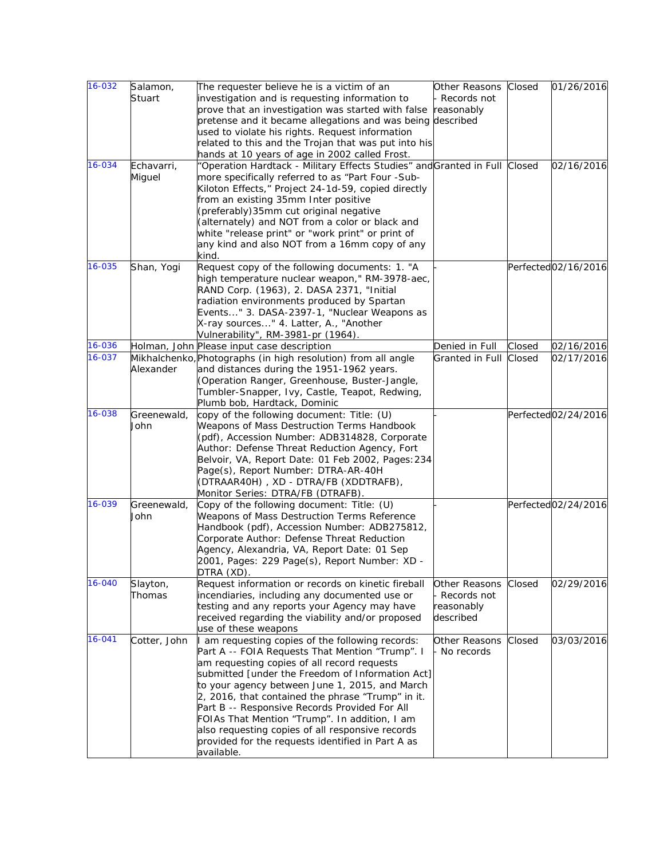| $16 - 032$ | Salamon,<br>Stuart   | The requester believe he is a victim of an<br>investigation and is requesting information to<br>prove that an investigation was started with false                                                                                                                                                                                                                                                                                                                                                                                     | Other Reasons<br>Records not<br>reasonably              | Closed | 01/26/2016          |
|------------|----------------------|----------------------------------------------------------------------------------------------------------------------------------------------------------------------------------------------------------------------------------------------------------------------------------------------------------------------------------------------------------------------------------------------------------------------------------------------------------------------------------------------------------------------------------------|---------------------------------------------------------|--------|---------------------|
|            |                      | pretense and it became allegations and was being described<br>used to violate his rights. Request information<br>related to this and the Trojan that was put into his<br>hands at 10 years of age in 2002 called Frost.                                                                                                                                                                                                                                                                                                                |                                                         |        |                     |
| 16-034     | Echavarri,<br>Miguel | "Operation Hardtack - Military Effects Studies" and Granted in Full Closed<br>more specifically referred to as "Part Four -Sub-<br>Kiloton Effects," Project 24-1d-59, copied directly<br>from an existing 35mm Inter positive<br>(preferably) 35mm cut original negative<br>(alternately) and NOT from a color or black and<br>white "release print" or "work print" or print of<br>any kind and also NOT from a 16mm copy of any<br>kind.                                                                                            |                                                         |        | 02/16/2016          |
| 16-035     | Shan, Yogi           | Request copy of the following documents: 1. "A<br>high temperature nuclear weapon," RM-3978-aec,<br>RAND Corp. (1963), 2. DASA 2371, "Initial<br>radiation environments produced by Spartan<br>Events" 3. DASA-2397-1, "Nuclear Weapons as<br>X-ray sources" 4. Latter, A., "Another<br>Vulnerability", RM-3981-pr (1964).                                                                                                                                                                                                             |                                                         |        | Perfected02/16/2016 |
| 16-036     |                      | Holman, John Please input case description                                                                                                                                                                                                                                                                                                                                                                                                                                                                                             | Denied in Full                                          | Closed | 02/16/2016          |
| $16 - 037$ | Alexander            | Mikhalchenko, Photographs (in high resolution) from all angle<br>and distances during the 1951-1962 years.<br>(Operation Ranger, Greenhouse, Buster-Jangle,<br>Tumbler-Snapper, Ivy, Castle, Teapot, Redwing,<br>Plumb bob, Hardtack, Dominic                                                                                                                                                                                                                                                                                          | Granted in Full Closed                                  |        | 02/17/2016          |
| 16-038     | Greenewald,<br>John  | copy of the following document: Title: (U)<br>Weapons of Mass Destruction Terms Handbook<br>(pdf), Accession Number: ADB314828, Corporate<br>Author: Defense Threat Reduction Agency, Fort<br>Belvoir, VA, Report Date: 01 Feb 2002, Pages: 234<br>Page(s), Report Number: DTRA-AR-40H<br>(DTRAAR40H), XD - DTRA/FB (XDDTRAFB),<br>Monitor Series: DTRA/FB (DTRAFB).                                                                                                                                                                   |                                                         |        | Perfected02/24/2016 |
| 16-039     | Greenewald,<br>John  | Copy of the following document: Title: (U)<br>Weapons of Mass Destruction Terms Reference<br>Handbook (pdf), Accession Number: ADB275812,<br>Corporate Author: Defense Threat Reduction<br>Agency, Alexandria, VA, Report Date: 01 Sep<br>2001, Pages: 229 Page(s), Report Number: XD -<br>DTRA (XD).                                                                                                                                                                                                                                  |                                                         |        | Perfected02/24/2016 |
| 16-040     | Slayton,<br>Thomas   | Request information or records on kinetic fireball<br>incendiaries, including any documented use or<br>testing and any reports your Agency may have<br>received regarding the viability and/or proposed<br>use of these weapons                                                                                                                                                                                                                                                                                                        | Other Reasons<br>Records not<br>reasonably<br>described | Closed | 02/29/2016          |
| 16-041     | Cotter, John         | I am requesting copies of the following records:<br>Part A -- FOIA Requests That Mention "Trump". I<br>am requesting copies of all record requests<br>submitted [under the Freedom of Information Act]<br>to your agency between June 1, 2015, and March<br>2, 2016, that contained the phrase "Trump" in it.<br>Part B -- Responsive Records Provided For All<br>FOIAs That Mention "Trump". In addition, I am<br>also requesting copies of all responsive records<br>provided for the requests identified in Part A as<br>available. | Other Reasons<br>No records                             | Closed | 03/03/2016          |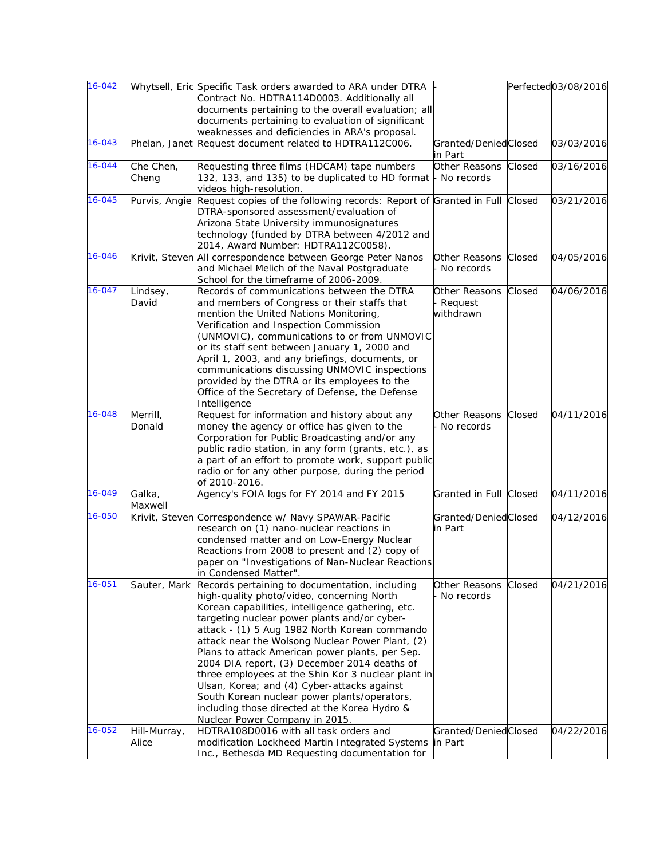| 16-042     |               | Whytsell, Eric Specific Task orders awarded to ARA under DTRA                                     |                      |        | Perfected03/08/2016 |
|------------|---------------|---------------------------------------------------------------------------------------------------|----------------------|--------|---------------------|
|            |               | Contract No. HDTRA114D0003. Additionally all                                                      |                      |        |                     |
|            |               | documents pertaining to the overall evaluation; all                                               |                      |        |                     |
|            |               | documents pertaining to evaluation of significant                                                 |                      |        |                     |
|            |               | weaknesses and deficiencies in ARA's proposal.                                                    |                      |        |                     |
| $16 - 043$ |               | Phelan, Janet Request document related to HDTRA112C006.                                           | Granted/DeniedClosed |        | 03/03/2016          |
|            |               |                                                                                                   | in Part              |        |                     |
| 16-044     | Che Chen,     | Requesting three films (HDCAM) tape numbers                                                       | Other Reasons        | Closed | 03/16/2016          |
|            | Cheng         | 132, 133, and 135) to be duplicated to HD format                                                  | No records           |        |                     |
|            |               | videos high-resolution.                                                                           |                      |        |                     |
| 16-045     | Purvis, Angie | Request copies of the following records: Report of Granted in Full Closed                         |                      |        | 03/21/2016          |
|            |               | DTRA-sponsored assessment/evaluation of                                                           |                      |        |                     |
|            |               | Arizona State University immunosignatures                                                         |                      |        |                     |
|            |               | technology (funded by DTRA between 4/2012 and                                                     |                      |        |                     |
|            |               | 2014, Award Number: HDTRA112C0058).                                                               |                      |        |                     |
| 16-046     |               | Krivit, Steven All correspondence between George Peter Nanos                                      | Other Reasons        | Closed | 04/05/2016          |
|            |               | and Michael Melich of the Naval Postgraduate                                                      | No records           |        |                     |
|            |               | School for the timeframe of 2006-2009.                                                            |                      |        |                     |
| 16-047     | Lindsey,      | Records of communications between the DTRA                                                        | Other Reasons        | Closed | 04/06/2016          |
|            | David         | and members of Congress or their staffs that                                                      | Request              |        |                     |
|            |               | mention the United Nations Monitoring,                                                            | withdrawn            |        |                     |
|            |               | Verification and Inspection Commission                                                            |                      |        |                     |
|            |               | (UNMOVIC), communications to or from UNMOVIC                                                      |                      |        |                     |
|            |               | or its staff sent between January 1, 2000 and                                                     |                      |        |                     |
|            |               | April 1, 2003, and any briefings, documents, or                                                   |                      |        |                     |
|            |               | communications discussing UNMOVIC inspections                                                     |                      |        |                     |
|            |               | provided by the DTRA or its employees to the                                                      |                      |        |                     |
|            |               | Office of the Secretary of Defense, the Defense                                                   |                      |        |                     |
|            |               | Intelligence                                                                                      |                      |        |                     |
| 16-048     | Merrill,      | Request for information and history about any                                                     | Other Reasons        | Closed | 04/11/2016          |
|            | Donald        | money the agency or office has given to the                                                       | No records           |        |                     |
|            |               | Corporation for Public Broadcasting and/or any                                                    |                      |        |                     |
|            |               | public radio station, in any form (grants, etc.), as                                              |                      |        |                     |
|            |               | a part of an effort to promote work, support public                                               |                      |        |                     |
|            |               | radio or for any other purpose, during the period                                                 |                      |        |                     |
|            |               | of 2010-2016.                                                                                     |                      |        |                     |
| 16-049     | Galka,        | Agency's FOIA logs for FY 2014 and FY 2015                                                        | Granted in Full      | Closed | 04/11/2016          |
|            | Maxwell       |                                                                                                   |                      |        |                     |
| 16-050     |               | Krivit, Steven Correspondence w/ Navy SPAWAR-Pacific                                              | Granted/DeniedClosed |        | 04/12/2016          |
|            |               | research on (1) nano-nuclear reactions in                                                         | in Part              |        |                     |
|            |               | condensed matter and on Low-Energy Nuclear                                                        |                      |        |                     |
|            |               | Reactions from 2008 to present and (2) copy of                                                    |                      |        |                     |
|            |               | paper on "Investigations of Nan-Nuclear Reactions                                                 |                      |        |                     |
| 16-051     |               | in Condensed Matter".                                                                             | Other Reasons        | Closed | 04/21/2016          |
|            | Sauter, Mark  | Records pertaining to documentation, including<br>high-quality photo/video, concerning North      | No records           |        |                     |
|            |               | Korean capabilities, intelligence gathering, etc.                                                 |                      |        |                     |
|            |               | targeting nuclear power plants and/or cyber-                                                      |                      |        |                     |
|            |               | attack - (1) 5 Aug 1982 North Korean commando                                                     |                      |        |                     |
|            |               | attack near the Wolsong Nuclear Power Plant, (2)                                                  |                      |        |                     |
|            |               | Plans to attack American power plants, per Sep.                                                   |                      |        |                     |
|            |               | 2004 DIA report, (3) December 2014 deaths of                                                      |                      |        |                     |
|            |               |                                                                                                   |                      |        |                     |
|            |               | three employees at the Shin Kor 3 nuclear plant in<br>Ulsan, Korea; and (4) Cyber-attacks against |                      |        |                     |
|            |               | South Korean nuclear power plants/operators,                                                      |                      |        |                     |
|            |               | including those directed at the Korea Hydro &                                                     |                      |        |                     |
|            |               | Nuclear Power Company in 2015.                                                                    |                      |        |                     |
| 16-052     | Hill-Murray,  | HDTRA108D0016 with all task orders and                                                            | Granted/DeniedClosed |        | 04/22/2016          |
|            | Alice         | modification Lockheed Martin Integrated Systems                                                   | in Part              |        |                     |
|            |               | Inc., Bethesda MD Requesting documentation for                                                    |                      |        |                     |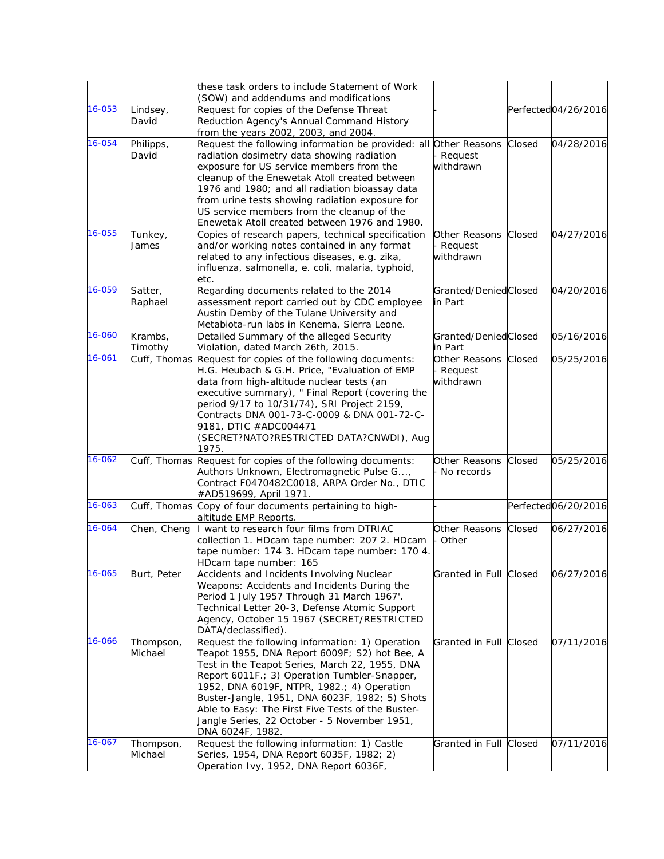|        |                      | these task orders to include Statement of Work                                                |                      |        |                     |
|--------|----------------------|-----------------------------------------------------------------------------------------------|----------------------|--------|---------------------|
|        |                      | (SOW) and addendums and modifications                                                         |                      |        |                     |
| 16-053 | Lindsey,             | Request for copies of the Defense Threat                                                      |                      |        | Perfected04/26/2016 |
|        | David                | Reduction Agency's Annual Command History                                                     |                      |        |                     |
|        |                      | from the years 2002, 2003, and 2004.                                                          |                      |        |                     |
| 16-054 | Philipps,            | Request the following information be provided: all Other Reasons                              |                      | Closed | 04/28/2016          |
|        | David                | radiation dosimetry data showing radiation                                                    | Request              |        |                     |
|        |                      | exposure for US service members from the                                                      | withdrawn            |        |                     |
|        |                      | cleanup of the Enewetak Atoll created between                                                 |                      |        |                     |
|        |                      | 1976 and 1980; and all radiation bioassay data                                                |                      |        |                     |
|        |                      | from urine tests showing radiation exposure for<br>US service members from the cleanup of the |                      |        |                     |
|        |                      | Enewetak Atoll created between 1976 and 1980.                                                 |                      |        |                     |
| 16-055 | Tunkey,              | Copies of research papers, technical specification                                            | Other Reasons        | Closed | 04/27/2016          |
|        | James                | and/or working notes contained in any format                                                  | Request              |        |                     |
|        |                      | related to any infectious diseases, e.g. zika,                                                | withdrawn            |        |                     |
|        |                      | influenza, salmonella, e. coli, malaria, typhoid,                                             |                      |        |                     |
|        |                      | etc.                                                                                          |                      |        |                     |
| 16-059 | Satter,              | Regarding documents related to the 2014                                                       | Granted/DeniedClosed |        | 04/20/2016          |
|        | Raphael              | assessment report carried out by CDC employee                                                 | in Part              |        |                     |
|        |                      | Austin Demby of the Tulane University and                                                     |                      |        |                     |
|        |                      | Metabiota-run labs in Kenema, Sierra Leone.                                                   |                      |        |                     |
| 16-060 | Krambs,              | Detailed Summary of the alleged Security                                                      | Granted/DeniedClosed |        | 05/16/2016          |
|        | Timothy              | Violation, dated March 26th, 2015.                                                            | in Part              |        |                     |
| 16-061 |                      | Cuff, Thomas Request for copies of the following documents:                                   | Other Reasons        | Closed | 05/25/2016          |
|        |                      | H.G. Heubach & G.H. Price, "Evaluation of EMP                                                 | Request              |        |                     |
|        |                      | data from high-altitude nuclear tests (an                                                     | withdrawn            |        |                     |
|        |                      | executive summary), " Final Report (covering the                                              |                      |        |                     |
|        |                      | period 9/17 to 10/31/74), SRI Project 2159,                                                   |                      |        |                     |
|        |                      | Contracts DNA 001-73-C-0009 & DNA 001-72-C-                                                   |                      |        |                     |
|        |                      | 9181, DTIC #ADC004471                                                                         |                      |        |                     |
|        |                      | (SECRET?NATO?RESTRICTED DATA?CNWDI), Aug<br>1975.                                             |                      |        |                     |
| 16-062 |                      | Cuff, Thomas Request for copies of the following documents:                                   | Other Reasons        | Closed | 05/25/2016          |
|        |                      | Authors Unknown, Electromagnetic Pulse G,                                                     | - No records         |        |                     |
|        |                      | Contract F0470482C0018, ARPA Order No., DTIC                                                  |                      |        |                     |
|        |                      | #AD519699, April 1971.                                                                        |                      |        |                     |
| 16-063 |                      | Cuff, Thomas Copy of four documents pertaining to high-                                       |                      |        | Perfected06/20/2016 |
|        |                      | altitude EMP Reports.                                                                         |                      |        |                     |
| 16-064 | Chen, Cheng          | I want to research four films from DTRIAC                                                     | Other Reasons        | Closed | 06/27/2016          |
|        |                      | collection 1. HDcam tape number: 207 2. HDcam                                                 | Other                |        |                     |
|        |                      | tape number: 174 3. HDcam tape number: 170 4.                                                 |                      |        |                     |
|        |                      | HDcam tape number: 165                                                                        |                      |        |                     |
| 16-065 | Burt, Peter          | Accidents and Incidents Involving Nuclear                                                     | Granted in Full      | Closed | 06/27/2016          |
|        |                      | Weapons: Accidents and Incidents During the                                                   |                      |        |                     |
|        |                      | Period 1 July 1957 Through 31 March 1967'.                                                    |                      |        |                     |
|        |                      | Technical Letter 20-3, Defense Atomic Support                                                 |                      |        |                     |
|        |                      | Agency, October 15 1967 (SECRET/RESTRICTED                                                    |                      |        |                     |
| 16-066 |                      | DATA/declassified).<br>Request the following information: 1) Operation                        | Granted in Full      | Closed | 07/11/2016          |
|        | Thompson,<br>Michael | Teapot 1955, DNA Report 6009F; S2) hot Bee, A                                                 |                      |        |                     |
|        |                      | Test in the Teapot Series, March 22, 1955, DNA                                                |                      |        |                     |
|        |                      | Report 6011F.; 3) Operation Tumbler-Snapper,                                                  |                      |        |                     |
|        |                      | 1952, DNA 6019F, NTPR, 1982.; 4) Operation                                                    |                      |        |                     |
|        |                      | Buster-Jangle, 1951, DNA 6023F, 1982; 5) Shots                                                |                      |        |                     |
|        |                      | Able to Easy: The First Five Tests of the Buster-                                             |                      |        |                     |
|        |                      | Jangle Series, 22 October - 5 November 1951,                                                  |                      |        |                     |
|        |                      | DNA 6024F, 1982.                                                                              |                      |        |                     |
| 16-067 | Thompson,            | Request the following information: 1) Castle                                                  | Granted in Full      | Closed | 07/11/2016          |
|        | Michael              | Series, 1954, DNA Report 6035F, 1982; 2)                                                      |                      |        |                     |
|        |                      | Operation Ivy, 1952, DNA Report 6036F,                                                        |                      |        |                     |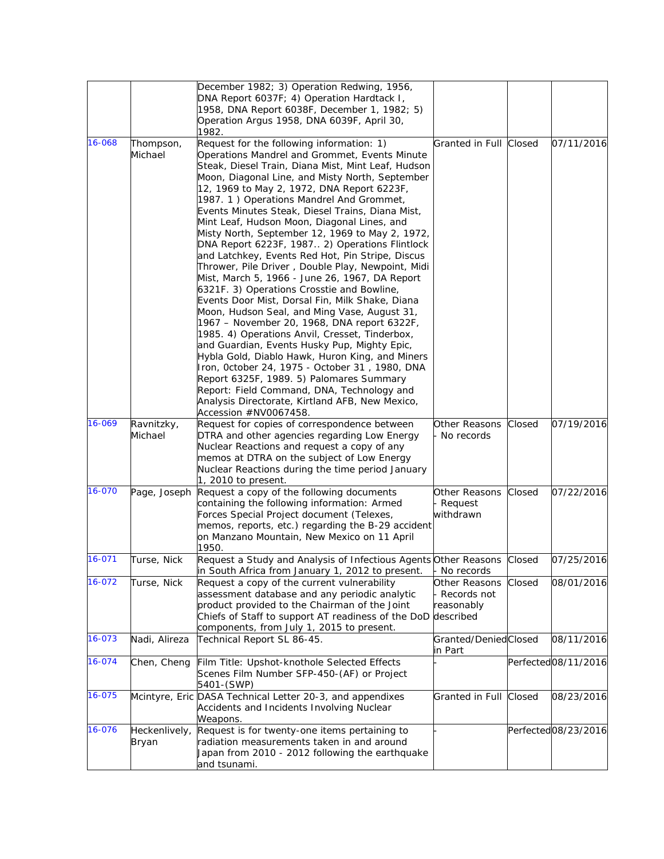|        |                        | December 1982; 3) Operation Redwing, 1956,<br>DNA Report 6037F; 4) Operation Hardtack I,<br>1958, DNA Report 6038F, December 1, 1982; 5)<br>Operation Argus 1958, DNA 6039F, April 30,<br>1982.                                                                                                                                                                                                                                                                                                                                                                                                                                                                                                                                                                                                                                                                                                                                                                                                                                                                                                                                                                                                                                               |                                                         |        |                                  |
|--------|------------------------|-----------------------------------------------------------------------------------------------------------------------------------------------------------------------------------------------------------------------------------------------------------------------------------------------------------------------------------------------------------------------------------------------------------------------------------------------------------------------------------------------------------------------------------------------------------------------------------------------------------------------------------------------------------------------------------------------------------------------------------------------------------------------------------------------------------------------------------------------------------------------------------------------------------------------------------------------------------------------------------------------------------------------------------------------------------------------------------------------------------------------------------------------------------------------------------------------------------------------------------------------|---------------------------------------------------------|--------|----------------------------------|
| 16-068 | Thompson,<br>Michael   | Request for the following information: 1)<br>Operations Mandrel and Grommet, Events Minute<br>Steak, Diesel Train, Diana Mist, Mint Leaf, Hudson<br>Moon, Diagonal Line, and Misty North, September<br>12, 1969 to May 2, 1972, DNA Report 6223F,<br>1987. 1) Operations Mandrel And Grommet,<br>Events Minutes Steak, Diesel Trains, Diana Mist,<br>Mint Leaf, Hudson Moon, Diagonal Lines, and<br>Misty North, September 12, 1969 to May 2, 1972,<br>DNA Report 6223F, 1987 2) Operations Flintlock<br>and Latchkey, Events Red Hot, Pin Stripe, Discus<br>Thrower, Pile Driver, Double Play, Newpoint, Midi<br>Mist, March 5, 1966 - June 26, 1967, DA Report<br>6321F. 3) Operations Crosstie and Bowline,<br>Events Door Mist, Dorsal Fin, Milk Shake, Diana<br>Moon, Hudson Seal, and Ming Vase, August 31,<br>1967 - November 20, 1968, DNA report 6322F,<br>1985. 4) Operations Anvil, Cresset, Tinderbox,<br>and Guardian, Events Husky Pup, Mighty Epic,<br>Hybla Gold, Diablo Hawk, Huron King, and Miners<br>Iron, October 24, 1975 - October 31, 1980, DNA<br>Report 6325F, 1989. 5) Palomares Summary<br>Report: Field Command, DNA, Technology and<br>Analysis Directorate, Kirtland AFB, New Mexico,<br>Accession #NV0067458. | Granted in Full Closed                                  |        | 07/11/2016                       |
| 16-069 | Ravnitzky,<br>Michael  | Request for copies of correspondence between<br>DTRA and other agencies regarding Low Energy<br>Nuclear Reactions and request a copy of any<br>memos at DTRA on the subject of Low Energy<br>Nuclear Reactions during the time period January<br>$1, 2010$ to present.                                                                                                                                                                                                                                                                                                                                                                                                                                                                                                                                                                                                                                                                                                                                                                                                                                                                                                                                                                        | Other Reasons<br>No records                             | Closed | 07/19/2016                       |
| 16-070 | Page, Joseph           | Request a copy of the following documents<br>containing the following information: Armed<br>Forces Special Project document (Telexes,<br>memos, reports, etc.) regarding the B-29 accident<br>on Manzano Mountain, New Mexico on 11 April<br>1950.                                                                                                                                                                                                                                                                                                                                                                                                                                                                                                                                                                                                                                                                                                                                                                                                                                                                                                                                                                                            | Other Reasons<br>Request<br>withdrawn                   | Closed | 07/22/2016                       |
| 16-071 | Turse, Nick            | Request a Study and Analysis of Infectious Agents Other Reasons Closed<br>in South Africa from January 1, 2012 to present.                                                                                                                                                                                                                                                                                                                                                                                                                                                                                                                                                                                                                                                                                                                                                                                                                                                                                                                                                                                                                                                                                                                    | No records                                              |        | 07/25/2016                       |
| 16-072 | Turse, Nick            | Request a copy of the current vulnerability<br>assessment database and any periodic analytic<br>product provided to the Chairman of the Joint<br>Chiefs of Staff to support AT readiness of the DoD<br>components, from July 1, 2015 to present.                                                                                                                                                                                                                                                                                                                                                                                                                                                                                                                                                                                                                                                                                                                                                                                                                                                                                                                                                                                              | Other Reasons<br>Records not<br>reasonably<br>described | Closed | 08/01/2016                       |
| 16-073 | Nadi, Alireza          | Technical Report SL 86-45.                                                                                                                                                                                                                                                                                                                                                                                                                                                                                                                                                                                                                                                                                                                                                                                                                                                                                                                                                                                                                                                                                                                                                                                                                    | Granted/DeniedClosed<br>in Part                         |        | 08/11/2016                       |
| 16-074 | Chen, Cheng            | Film Title: Upshot-knothole Selected Effects<br>Scenes Film Number SFP-450-(AF) or Project<br>5401-(SWP)                                                                                                                                                                                                                                                                                                                                                                                                                                                                                                                                                                                                                                                                                                                                                                                                                                                                                                                                                                                                                                                                                                                                      |                                                         |        | Perfected <sub>08</sub> /11/2016 |
| 16-075 |                        | Mcintyre, Eric DASA Technical Letter 20-3, and appendixes<br>Accidents and Incidents Involving Nuclear<br>Weapons.                                                                                                                                                                                                                                                                                                                                                                                                                                                                                                                                                                                                                                                                                                                                                                                                                                                                                                                                                                                                                                                                                                                            | Granted in Full                                         | Closed | 08/23/2016                       |
| 16-076 | Heckenlively,<br>Bryan | Request is for twenty-one items pertaining to<br>radiation measurements taken in and around<br>Japan from 2010 - 2012 following the earthquake<br>and tsunami.                                                                                                                                                                                                                                                                                                                                                                                                                                                                                                                                                                                                                                                                                                                                                                                                                                                                                                                                                                                                                                                                                |                                                         |        | Perfected08/23/2016              |